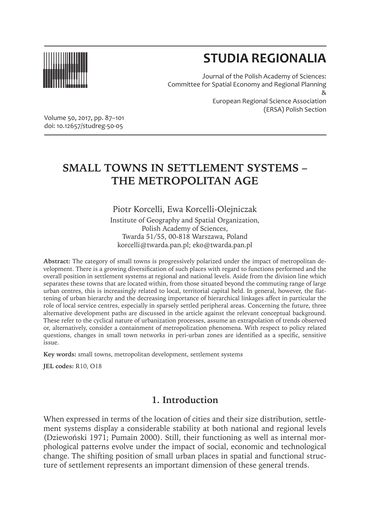

# **STUDIA REGIONALIA**

Journal of the Polish Academy of Sciences: Committee for Spatial Economy and Regional Planning & European Regional Science Association (ERSA) Polish Section

Volume 50, 2017, pp. 87–101 doi: 10.12657/studreg-50-05

# **SMALL TOWNS IN SETTLEMENT SYSTEMS – THE METROPOLITAN AGE**

Piotr Korcelli, Ewa Korcelli-Olejniczak Institute of Geography and Spatial Organization, Polish Academy of Sciences, Twarda 51/55, 00-818 Warszawa, Poland korcelli@twarda.pan.pl; eko@twarda.pan.pl

**Abstract:** The category of small towns is progressively polarized under the impact of metropolitan development. There is a growing diversification of such places with regard to functions performed and the overall position in settlement systems at regional and national levels. Aside from the division line which separates these towns that are located within, from those situated beyond the commuting range of large urban centres, this is increasingly related to local, territorial capital held. In general, however, the flattening of urban hierarchy and the decreasing importance of hierarchical linkages affect in particular the role of local service centres, especially in sparsely settled peripheral areas. Concerning the future, three alternative development paths are discussed in the article against the relevant conceptual background. These refer to the cyclical nature of urbanization processes, assume an extrapolation of trends observed or, alternatively, consider a containment of metropolization phenomena. With respect to policy related questions, changes in small town networks in peri-urban zones are identified as a specific, sensitive issue.

**Key words:** small towns, metropolitan development, settlement systems

**JEL codes:** R10, O18

## **1. Introduction**

When expressed in terms of the location of cities and their size distribution, settlement systems display a considerable stability at both national and regional levels (Dziewoński 1971; Pumain 2000). Still, their functioning as well as internal morphological patterns evolve under the impact of social, economic and technological change. The shifting position of small urban places in spatial and functional structure of settlement represents an important dimension of these general trends.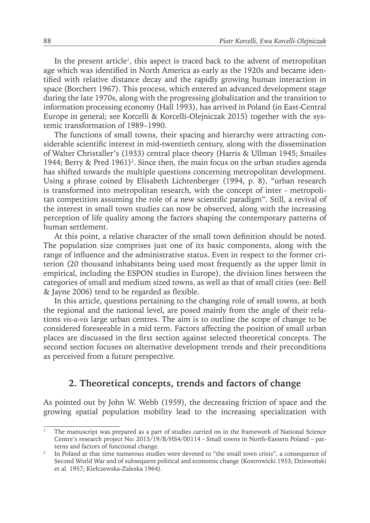In the present article<sup>1</sup>, this aspect is traced back to the advent of metropolitan age which was identified in North America as early as the 1920s and became identified with relative distance decay and the rapidly growing human interaction in space (Borchert 1967). This process, which entered an advanced development stage during the late 1970s, along with the progressing globalization and the transition to information processing economy (Hall 1993), has arrived in Poland (in East-Central Europe in general; see Korcelli & Korcelli-Olejniczak 2015) together with the systemic transformation of 1989–1990.

The functions of small towns, their spacing and hierarchy were attracting considerable scientific interest in mid-twentieth century, along with the dissemination of Walter Christaller's (1933) central place theory (Harris & Ullman 1945; Smailes 1944; Berry & Pred 1961)<sup>2</sup>. Since then, the main focus on the urban studies agenda has shifted towards the multiple questions concerning metropolitan development. Using a phrase coined by Elisabeth Lichtenberger (1994, p. 8), "urban research is transformed into metropolitan research, with the concept of inter - metropolitan competition assuming the role of a new scientific paradigm". Still, a revival of the interest in small town studies can now be observed, along with the increasing perception of life quality among the factors shaping the contemporary patterns of human settlement.

At this point, a relative character of the small town definition should be noted. The population size comprises just one of its basic components, along with the range of influence and the administrative status. Even in respect to the former criterion (20 thousand inhabitants being used most frequently as the upper limit in empirical, including the ESPON studies in Europe), the division lines between the categories of small and medium sized towns, as well as that of small cities (see: Bell & Jayne 2006) tend to be regarded as flexible.

In this article, questions pertaining to the changing role of small towns, at both the regional and the national level, are posed mainly from the angle of their relations *vis-a-vis* large urban centres. The aim is to outline the scope of change to be considered foreseeable in a mid term. Factors affecting the position of small urban places are discussed in the first section against selected theoretical concepts. The second section focuses on alternative development trends and their preconditions as perceived from a future perspective.

#### **2. Theoretical concepts, trends and factors of change**

As pointed out by John W. Webb (1959), the decreasing friction of space and the growing spatial population mobility lead to the increasing specialization with

<sup>1</sup> The manuscript was prepared as a part of studies carried on in the framework of National Science Centre's research project No: 2015/19/B/HS4/00114 - Small towns in North-Eastern Poland – patterns and factors of functional change.

<sup>&</sup>lt;sup>2</sup> In Poland at that time numerous studies were devoted to "the small town crisis", a consequence of Second World War and of subsequent political and economic change (Kostrowicki 1953; Dziewoński et al. 1957; Kiełczewska-Zaleska 1964).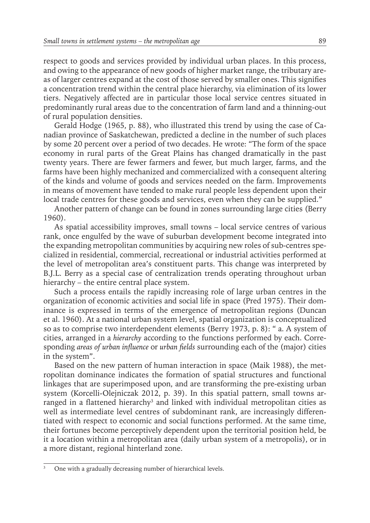respect to goods and services provided by individual urban places. In this process, and owing to the appearance of new goods of higher market range, the tributary areas of larger centres expand at the cost of those served by smaller ones. This signifies a concentration trend within the central place hierarchy, via elimination of its lower tiers. Negatively affected are in particular those local service centres situated in predominantly rural areas due to the concentration of farm land and a thinning-out of rural population densities.

Gerald Hodge (1965, p. 88), who illustrated this trend by using the case of Canadian province of Saskatchewan, predicted a decline in the number of such places by some 20 percent over a period of two decades. He wrote: "The form of the space economy in rural parts of the Great Plains has changed dramatically in the past twenty years. There are fewer farmers and fewer, but much larger, farms, and the farms have been highly mechanized and commercialized with a consequent altering of the kinds and volume of goods and services needed on the farm. Improvements in means of movement have tended to make rural people less dependent upon their local trade centres for these goods and services, even when they can be supplied."

Another pattern of change can be found in zones surrounding large cities (Berry 1960).

As spatial accessibility improves, small towns – local service centres of various rank, once engulfed by the wave of suburban development become integrated into the expanding metropolitan communities by acquiring new roles of sub-centres specialized in residential, commercial, recreational or industrial activities performed at the level of metropolitan area's constituent parts. This change was interpreted by B.J.L. Berry as a special case of centralization trends operating throughout urban hierarchy – the entire central place system.

Such a process entails the rapidly increasing role of large urban centres in the organization of economic activities and social life in space (Pred 1975). Their dominance is expressed in terms of the emergence of metropolitan regions (Duncan et al. 1960). At a national urban system level, spatial organization is conceptualized so as to comprise two interdependent elements (Berry 1973, p. 8): " a. A system of cities, arranged in a *hierarchy* according to the functions performed by each. Corresponding *areas of urban influence* or *urban fields* surrounding each of the (major) cities in the system".

Based on the new pattern of human interaction in space (Maik 1988), the metropolitan dominance indicates the formation of spatial structures and functional linkages that are superimposed upon, and are transforming the pre-existing urban system (Korcelli-Olejniczak 2012, p. 39). In this spatial pattern, small towns arranged in a flattened hierarchy<sup>3</sup> and linked with individual metropolitan cities as well as intermediate level centres of subdominant rank, are increasingly differentiated with respect to economic and social functions performed. At the same time, their fortunes become perceptively dependent upon the territorial position held, be it a location within a metropolitan area (daily urban system of a metropolis), or in a more distant, regional hinterland zone.

<sup>3</sup> One with a gradually decreasing number of hierarchical levels.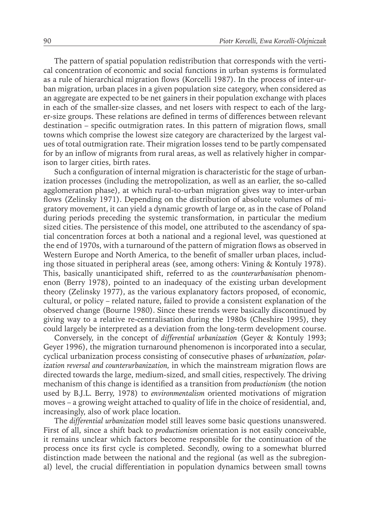The pattern of spatial population redistribution that corresponds with the vertical concentration of economic and social functions in urban systems is formulated as a rule of hierarchical migration flows (Korcelli 1987). In the process of inter-urban migration, urban places in a given population size category, when considered as an aggregate are expected to be net gainers in their population exchange with places in each of the smaller-size classes, and net losers with respect to each of the larger-size groups. These relations are defined in terms of differences between relevant destination – specific outmigration rates. In this pattern of migration flows, small towns which comprise the lowest size category are characterized by the largest values of total outmigration rate. Their migration losses tend to be partly compensated for by an inflow of migrants from rural areas, as well as relatively higher in comparison to larger cities, birth rates.

Such a configuration of internal migration is characteristic for the stage of urbanization processes (including the metropolization, as well as an earlier, the so-called agglomeration phase), at which rural-to-urban migration gives way to inter-urban flows (Zelinsky 1971). Depending on the distribution of absolute volumes of migratory movement, it can yield a dynamic growth of large or, as in the case of Poland during periods preceding the systemic transformation, in particular the medium sized cities. The persistence of this model, one attributed to the ascendancy of spatial concentration forces at both a national and a regional level, was questioned at the end of 1970s, with a turnaround of the pattern of migration flows as observed in Western Europe and North America, to the benefit of smaller urban places, including those situated in peripheral areas (see, among others: Vining & Kontuly 1978). This, basically unanticipated shift, referred to as the *counterurbanisation* phenomenon (Berry 1978), pointed to an inadequacy of the existing urban development theory (Zelinsky 1977), as the various explanatory factors proposed, of economic, cultural, or policy – related nature, failed to provide a consistent explanation of the observed change (Bourne 1980). Since these trends were basically discontinued by giving way to a relative re-centralisation during the 1980s (Cheshire 1995), they could largely be interpreted as a deviation from the long-term development course.

Conversely, in the concept of *differential urbanization* (Geyer & Kontuly 1993; Geyer 1996), the migration turnaround phenomenon is incorporated into a secular, cyclical urbanization process consisting of consecutive phases of *urbanization, polarization reversal and counterurbanization,* in which the mainstream migration flows are directed towards the large, medium-sized, and small cities, respectively. The driving mechanism of this change is identified as a transition from *productionism* (the notion used by B.J.L. Berry, 1978) to *environmentalism* oriented motivations of migration moves – a growing weight attached to quality of life in the choice of residential, and, increasingly, also of work place location.

The *differential urbanization* model still leaves some basic questions unanswered. First of all, since a shift back to *productionism* orientation is not easily conceivable, it remains unclear which factors become responsible for the continuation of the process once its first cycle is completed. Secondly, owing to a somewhat blurred distinction made between the national and the regional (as well as the subregional) level, the crucial differentiation in population dynamics between small towns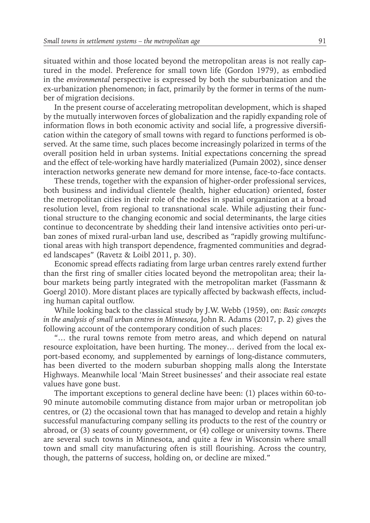situated within and those located beyond the metropolitan areas is not really captured in the model. Preference for small town life (Gordon 1979), as embodied in the *environmental* perspective is expressed by both the suburbanization and the ex-urbanization phenomenon; in fact, primarily by the former in terms of the number of migration decisions.

In the present course of accelerating metropolitan development, which is shaped by the mutually interwoven forces of globalization and the rapidly expanding role of information flows in both economic activity and social life, a progressive diversification within the category of small towns with regard to functions performed is observed. At the same time, such places become increasingly polarized in terms of the overall position held in urban systems. Initial expectations concerning the spread and the effect of tele-working have hardly materialized (Pumain 2002), since denser interaction networks generate new demand for more intense, face-to-face contacts.

These trends, together with the expansion of higher-order professional services, both business and individual clientele (health, higher education) oriented, foster the metropolitan cities in their role of the nodes in spatial organization at a broad resolution level, from regional to transnational scale. While adjusting their functional structure to the changing economic and social determinants, the large cities continue to deconcentrate by shedding their land intensive activities onto peri-urban zones of mixed rural-urban land use, described as "rapidly growing multifunctional areas with high transport dependence, fragmented communities and degraded landscapes" (Ravetz & Loibl 2011, p. 30).

Economic spread effects radiating from large urban centres rarely extend further than the first ring of smaller cities located beyond the metropolitan area; their labour markets being partly integrated with the metropolitan market (Fassmann & Goergl 2010). More distant places are typically affected by backwash effects, including human capital outflow.

While looking back to the classical study by J.W. Webb (1959), on: *Basic concepts in the analysis of small urban centres in Minnesota, John R. Adams (2017, p. 2) gives the* following account of the contemporary condition of such places:

"… the rural towns remote from metro areas, and which depend on natural resource exploitation, have been hurting. The money… derived from the local export-based economy, and supplemented by earnings of long-distance commuters, has been diverted to the modern suburban shopping malls along the Interstate Highways. Meanwhile local 'Main Street businesses' and their associate real estate values have gone bust.

The important exceptions to general decline have been: (1) places within 60-to-90 minute automobile commuting distance from major urban or metropolitan job centres, or (2) the occasional town that has managed to develop and retain a highly successful manufacturing company selling its products to the rest of the country or abroad, or (3) seats of county government, or (4) college or university towns. There are several such towns in Minnesota, and quite a few in Wisconsin where small town and small city manufacturing often is still flourishing. Across the country, though, the patterns of success, holding on, or decline are mixed."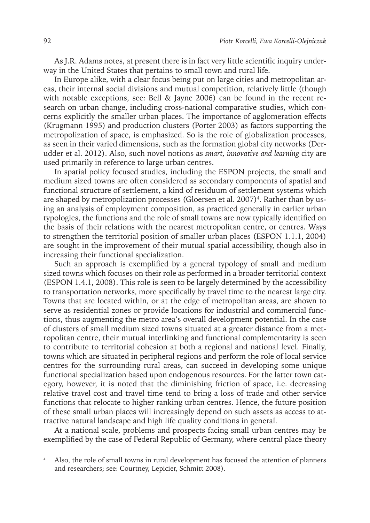As J.R. Adams notes, at present there is in fact very little scientific inquiry underway in the United States that pertains to small town and rural life.

In Europe alike, with a clear focus being put on large cities and metropolitan areas, their internal social divisions and mutual competition, relatively little (though with notable exceptions, see: Bell & Jayne 2006) can be found in the recent research on urban change, including cross-national comparative studies, which concerns explicitly the smaller urban places. The importance of agglomeration effects (Krugmann 1995) and production clusters (Porter 2003) as factors supporting the metropolization of space, is emphasized. So is the role of globalization processes, as seen in their varied dimensions, such as the formation global city networks (Derudder et al. 2012). Also, such novel notions as *smart, innovative and learning* city are used primarily in reference to large urban centres.

In spatial policy focused studies, including the ESPON projects, the small and medium sized towns are often considered as secondary components of spatial and functional structure of settlement, a kind of residuum of settlement systems which are shaped by metropolization processes (Gloersen et al. 2007)<sup>4</sup>. Rather than by using an analysis of employment composition, as practiced generally in earlier urban typologies, the functions and the role of small towns are now typically identified on the basis of their relations with the nearest metropolitan centre, or centres. Ways to strengthen the territorial position of smaller urban places (ESPON 1.1.1, 2004) are sought in the improvement of their mutual spatial accessibility, though also in increasing their functional specialization.

Such an approach is exemplified by a general typology of small and medium sized towns which focuses on their role as performed in a broader territorial context (ESPON 1.4.1, 2008). This role is seen to be largely determined by the accessibility to transportation networks, more specifically by travel time to the nearest large city. Towns that are located within, or at the edge of metropolitan areas, are shown to serve as residential zones or provide locations for industrial and commercial functions, thus augmenting the metro area's overall development potential. In the case of clusters of small medium sized towns situated at a greater distance from a metropolitan centre, their mutual interlinking and functional complementarity is seen to contribute to territorial cohesion at both a regional and national level. Finally, towns which are situated in peripheral regions and perform the role of local service centres for the surrounding rural areas, can succeed in developing some unique functional specialization based upon endogenous resources. For the latter town category, however, it is noted that the diminishing friction of space, i.e. decreasing relative travel cost and travel time tend to bring a loss of trade and other service functions that relocate to higher ranking urban centres. Hence, the future position of these small urban places will increasingly depend on such assets as access to attractive natural landscape and high life quality conditions in general.

At a national scale, problems and prospects facing small urban centres may be exemplified by the case of Federal Republic of Germany, where central place theory

<sup>4</sup> Also, the role of small towns in rural development has focused the attention of planners and researchers; see: Courtney, Lepicier, Schmitt 2008).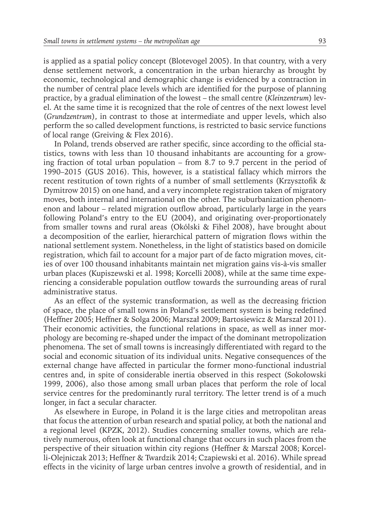is applied as a spatial policy concept (Blotevogel 2005). In that country, with a very dense settlement network, a concentration in the urban hierarchy as brought by economic, technological and demographic change is evidenced by a contraction in the number of central place levels which are identified for the purpose of planning practice, by a gradual elimination of the lowest – the small centre (*Kleinzentrum*) level. At the same time it is recognized that the role of centres of the next lowest level (*Grundzentrum*), in contrast to those at intermediate and upper levels, which also perform the so called development functions, is restricted to basic service functions of local range (Greiving & Flex 2016).

In Poland, trends observed are rather specific, since according to the official statistics, towns with less than 10 thousand inhabitants are accounting for a growing fraction of total urban population – from 8.7 to 9.7 percent in the period of 1990–2015 (GUS 2016). This, however, is a statistical fallacy which mirrors the recent restitution of town rights of a number of small settlements (Krzysztofik & Dymitrow 2015) on one hand, and a very incomplete registration taken of migratory moves, both internal and international on the other. The suburbanization phenomenon and labour – related migration outflow abroad, particularly large in the years following Poland's entry to the EU (2004), and originating over-proportionately from smaller towns and rural areas (Okólski & Fihel 2008), have brought about a decomposition of the earlier, hierarchical pattern of migration flows within the national settlement system. Nonetheless, in the light of statistics based on domicile registration, which fail to account for a major part of de facto migration moves, cities of over 100 thousand inhabitants maintain net migration gains vis-à-vis smaller urban places (Kupiszewski et al. 1998; Korcelli 2008), while at the same time experiencing a considerable population outflow towards the surrounding areas of rural administrative status.

As an effect of the systemic transformation, as well as the decreasing friction of space, the place of small towns in Poland's settlement system is being redefined (Heffner 2005; Heffner & Solga 2006; Marszał 2009; Bartosiewicz & Marszał 2011). Their economic activities, the functional relations in space, as well as inner morphology are becoming re-shaped under the impact of the dominant metropolization phenomena. The set of small towns is increasingly differentiated with regard to the social and economic situation of its individual units. Negative consequences of the external change have affected in particular the former mono-functional industrial centres and, in spite of considerable inertia observed in this respect (Sokołowski 1999, 2006), also those among small urban places that perform the role of local service centres for the predominantly rural territory. The letter trend is of a much longer, in fact a secular character.

As elsewhere in Europe, in Poland it is the large cities and metropolitan areas that focus the attention of urban research and spatial policy, at both the national and a regional level (KPZK, 2012). Studies concerning smaller towns, which are relatively numerous, often look at functional change that occurs in such places from the perspective of their situation within city regions (Heffner & Marszał 2008; Korcelli-Olejniczak 2013; Heffner & Twardzik 2014; Czapiewski et al. 2016). While spread effects in the vicinity of large urban centres involve a growth of residential, and in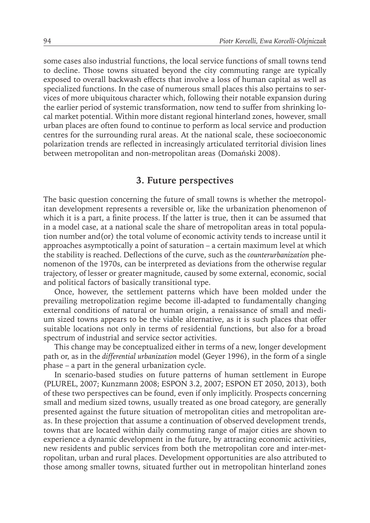some cases also industrial functions, the local service functions of small towns tend to decline. Those towns situated beyond the city commuting range are typically exposed to overall backwash effects that involve a loss of human capital as well as specialized functions. In the case of numerous small places this also pertains to services of more ubiquitous character which, following their notable expansion during the earlier period of systemic transformation, now tend to suffer from shrinking local market potential. Within more distant regional hinterland zones, however, small urban places are often found to continue to perform as local service and production centres for the surrounding rural areas. At the national scale, these socioeconomic polarization trends are reflected in increasingly articulated territorial division lines between metropolitan and non-metropolitan areas (Domański 2008).

### **3. Future perspectives**

The basic question concerning the future of small towns is whether the metropolitan development represents a reversible or, like the urbanization phenomenon of which it is a part, a finite process. If the latter is true, then it can be assumed that in a model case, at a national scale the share of metropolitan areas in total population number and(or) the total volume of economic activity tends to increase until it approaches asymptotically a point of saturation – a certain maximum level at which the stability is reached. Deflections of the curve, such as the *counterurbanization* phenomenon of the 1970s, can be interpreted as deviations from the otherwise regular trajectory, of lesser or greater magnitude, caused by some external, economic, social and political factors of basically transitional type.

Once, however, the settlement patterns which have been molded under the prevailing metropolization regime become ill-adapted to fundamentally changing external conditions of natural or human origin, a renaissance of small and medium sized towns appears to be the viable alternative, as it is such places that offer suitable locations not only in terms of residential functions, but also for a broad spectrum of industrial and service sector activities.

This change may be conceptualized either in terms of a new, longer development path or, as in the *differential urbanization* model (Geyer 1996), in the form of a single phase – a part in the general urbanization cycle.

In scenario-based studies on future patterns of human settlement in Europe (PLUREL, 2007; Kunzmann 2008; ESPON 3.2, 2007; ESPON ET 2050, 2013), both of these two perspectives can be found, even if only implicitly. Prospects concerning small and medium sized towns, usually treated as one broad category, are generally presented against the future situation of metropolitan cities and metropolitan areas. In these projection that assume a continuation of observed development trends, towns that are located within daily commuting range of major cities are shown to experience a dynamic development in the future, by attracting economic activities, new residents and public services from both the metropolitan core and inter-metropolitan, urban and rural places. Development opportunities are also attributed to those among smaller towns, situated further out in metropolitan hinterland zones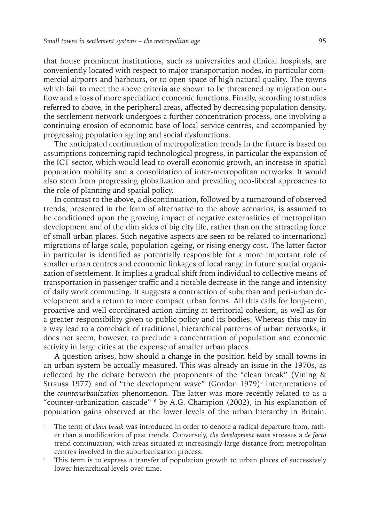that house prominent institutions, such as universities and clinical hospitals, are conveniently located with respect to major transportation nodes, in particular commercial airports and harbours, or to open space of high natural quality. The towns which fail to meet the above criteria are shown to be threatened by migration outflow and a loss of more specialized economic functions. Finally, according to studies referred to above, in the peripheral areas, affected by decreasing population density, the settlement network undergoes a further concentration process, one involving a continuing erosion of economic base of local service centres, and accompanied by progressing population ageing and social dysfunctions.

The anticipated continuation of metropolization trends in the future is based on assumptions concerning rapid technological progress, in particular the expansion of the ICT sector, which would lead to overall economic growth, an increase in spatial population mobility and a consolidation of inter-metropolitan networks. It would also stem from progressing globalization and prevailing neo-liberal approaches to the role of planning and spatial policy.

In contrast to the above, a discontinuation, followed by a turnaround of observed trends, presented in the form of alternative to the above scenarios, is assumed to be conditioned upon the growing impact of negative externalities of metropolitan development and of the dim sides of big city life, rather than on the attracting force of small urban places. Such negative aspects are seen to be related to international migrations of large scale, population ageing, or rising energy cost. The latter factor in particular is identified as potentially responsible for a more important role of smaller urban centres and economic linkages of local range in future spatial organization of settlement. It implies a gradual shift from individual to collective means of transportation in passenger traffic and a notable decrease in the range and intensity of daily work commuting. It suggests a contraction of suburban and peri-urban development and a return to more compact urban forms. All this calls for long-term, proactive and well coordinated action aiming at territorial cohesion, as well as for a greater responsibility given to public policy and its bodies. Whereas this may in a way lead to a comeback of traditional, hierarchical patterns of urban networks, it does not seem, however, to preclude a concentration of population and economic activity in large cities at the expense of smaller urban places.

A question arises, how should a change in the position held by small towns in an urban system be actually measured. This was already an issue in the 1970s, as reflected by the debate between the proponents of the "clean break" (Vining & Strauss 1977) and of "the development wave" (Gordon 1979)<sup>5</sup> interpretations of the *counterurbanization* phenomenon. The latter was more recently related to as a "counter-urbanization cascade" 6 by A.G. Champion (2002), in his explanation of population gains observed at the lower levels of the urban hierarchy in Britain.

<sup>5</sup> The term of *clean break* was introduced in order to denote a radical departure from, rather than a modification of past trends. Conversely, *the development wave* stresses a *de facto* trend continuation, with areas situated at increasingly large distance from metropolitan centres involved in the suburbanization process.

<sup>&</sup>lt;sup>6</sup> This term is to express a transfer of population growth to urban places of successively lower hierarchical levels over time.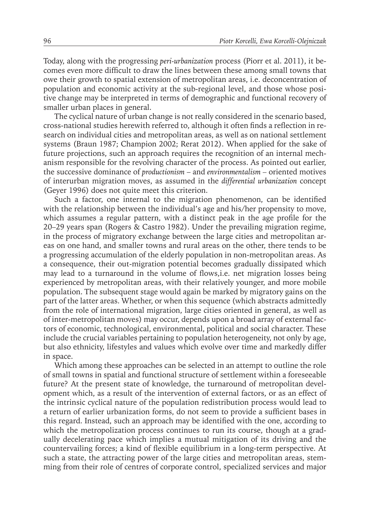Today, along with the progressing *peri-urbanization* process (Piorr et al. 2011), it becomes even more difficult to draw the lines between these among small towns that owe their growth to spatial extension of metropolitan areas, i.e. deconcentration of population and economic activity at the sub-regional level, and those whose positive change may be interpreted in terms of demographic and functional recovery of smaller urban places in general.

The cyclical nature of urban change is not really considered in the scenario based, cross-national studies herewith referred to, although it often finds a reflection in research on individual cities and metropolitan areas, as well as on national settlement systems (Braun 1987; Champion 2002; Rerat 2012). When applied for the sake of future projections, such an approach requires the recognition of an internal mechanism responsible for the revolving character of the process. As pointed out earlier, the successive dominance of *productionism* – and *environmentalism –* oriented motives of interurban migration moves, as assumed in the *differential urbanization* concept (Geyer 1996) does not quite meet this criterion.

Such a factor, one internal to the migration phenomenon, can be identified with the relationship between the individual's age and his/her propensity to move, which assumes a regular pattern, with a distinct peak in the age profile for the 20–29 years span (Rogers & Castro 1982). Under the prevailing migration regime, in the process of migratory exchange between the large cities and metropolitan areas on one hand, and smaller towns and rural areas on the other, there tends to be a progressing accumulation of the elderly population in non-metropolitan areas. As a consequence, their out-migration potential becomes gradually dissipated which may lead to a turnaround in the volume of flows,i.e. net migration losses being experienced by metropolitan areas, with their relatively younger, and more mobile population. The subsequent stage would again be marked by migratory gains on the part of the latter areas. Whether, or when this sequence (which abstracts admittedly from the role of international migration, large cities oriented in general, as well as of inter-metropolitan moves) may occur, depends upon a broad array of external factors of economic, technological, environmental, political and social character. These include the crucial variables pertaining to population heterogeneity, not only by age, but also ethnicity, lifestyles and values which evolve over time and markedly differ in space.

Which among these approaches can be selected in an attempt to outline the role of small towns in spatial and functional structure of settlement within a foreseeable future? At the present state of knowledge, the turnaround of metropolitan development which, as a result of the intervention of external factors, or as an effect of the intrinsic cyclical nature of the population redistribution process would lead to a return of earlier urbanization forms, do not seem to provide a sufficient bases in this regard. Instead, such an approach may be identified with the one, according to which the metropolization process continues to run its course, though at a gradually decelerating pace which implies a mutual mitigation of its driving and the countervailing forces; a kind of flexible equilibrium in a long-term perspective. At such a state, the attracting power of the large cities and metropolitan areas, stemming from their role of centres of corporate control, specialized services and major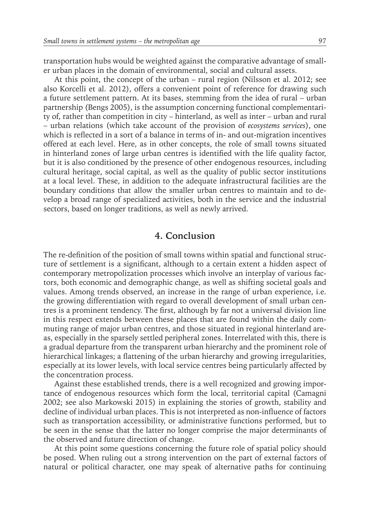transportation hubs would be weighted against the comparative advantage of smaller urban places in the domain of environmental, social and cultural assets.

At this point, the concept of the urban – rural region (Nilsson et al. 2012; see also Korcelli et al. 2012), offers a convenient point of reference for drawing such a future settlement pattern. At its bases, stemming from the idea of rural – urban partnership (Bengs 2005), is the assumption concerning functional complementarity of, rather than competition in city – hinterland, as well as inter – urban and rural – urban relations (which take account of the provision of *ecosystems services*), one which is reflected in a sort of a balance in terms of in- and out-migration incentives offered at each level. Here, as in other concepts, the role of small towns situated in hinterland zones of large urban centres is identified with the life quality factor, but it is also conditioned by the presence of other endogenous resources, including cultural heritage, social capital, as well as the quality of public sector institutions at a local level. These, in addition to the adequate infrastructural facilities are the boundary conditions that allow the smaller urban centres to maintain and to develop a broad range of specialized activities, both in the service and the industrial sectors, based on longer traditions, as well as newly arrived.

#### **4. Conclusion**

The re-definition of the position of small towns within spatial and functional structure of settlement is a significant, although to a certain extent a hidden aspect of contemporary metropolization processes which involve an interplay of various factors, both economic and demographic change, as well as shifting societal goals and values. Among trends observed, an increase in the range of urban experience, i.e. the growing differentiation with regard to overall development of small urban centres is a prominent tendency. The first, although by far not a universal division line in this respect extends between these places that are found within the daily commuting range of major urban centres, and those situated in regional hinterland areas, especially in the sparsely settled peripheral zones. Interrelated with this, there is a gradual departure from the transparent urban hierarchy and the prominent role of hierarchical linkages; a flattening of the urban hierarchy and growing irregularities, especially at its lower levels, with local service centres being particularly affected by the concentration process.

Against these established trends, there is a well recognized and growing importance of endogenous resources which form the local, territorial capital (Camagni 2002; see also Markowski 2015) in explaining the stories of growth, stability and decline of individual urban places. This is not interpreted as non-influence of factors such as transportation accessibility, or administrative functions performed, but to be seen in the sense that the latter no longer comprise the major determinants of the observed and future direction of change.

At this point some questions concerning the future role of spatial policy should be posed. When ruling out a strong intervention on the part of external factors of natural or political character, one may speak of alternative paths for continuing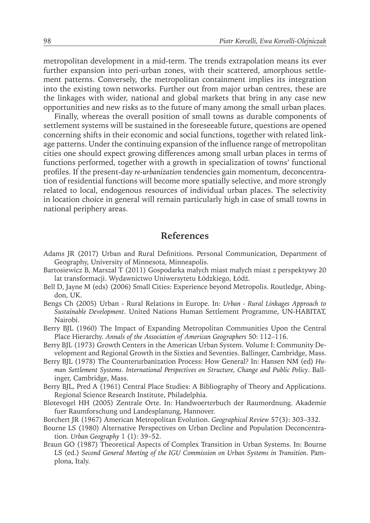metropolitan development in a mid-term. The trends extrapolation means its ever further expansion into peri-urban zones, with their scattered, amorphous settlement patterns. Conversely, the metropolitan containment implies its integration into the existing town networks. Further out from major urban centres, these are the linkages with wider, national and global markets that bring in any case new opportunities and new risks as to the future of many among the small urban places.

Finally, whereas the overall position of small towns as durable components of settlement systems will be sustained in the foreseeable future, questions are opened concerning shifts in their economic and social functions, together with related linkage patterns. Under the continuing expansion of the influence range of metropolitan cities one should expect growing differences among small urban places in terms of functions performed, together with a growth in specialization of towns' functional profiles. If the present-day *re-urbanization* tendencies gain momentum, deconcentration of residential functions will become more spatially selective, and more strongly related to local, endogenous resources of individual urban places. The selectivity in location choice in general will remain particularly high in case of small towns in national periphery areas.

#### **References**

- Adams JR (2017) Urban and Rural Definitions. Personal Communication, Department of Geography, University of Minnesota, Minneapolis.
- Bartosiewicz B, Marszał T (2011) Gospodarka małych miast małych miast z perspektywy 20 lat transformacji. Wydawnictwo Uniwersytetu Łódzkiego, Łódź.
- Bell D, Jayne M (eds) (2006) Small Cities: Experience beyond Metropolis. Routledge, Abingdon, UK.
- Bengs Ch (2005) Urban Rural Relations in Europe. In: *Urban Rural Linkages Approach to Sustainable Development*. United Nations Human Settlement Programme, UN-HABITAT, Nairobi.
- Berry BJL (1960) The Impact of Expanding Metropolitan Communities Upon the Central Place Hierarchy. *Annals of the Association of American Geographers* 50: 112–116.
- Berry BJL (1973) Growth Centers in the American Urban System. Volume I: Community Development and Regional Growth in the Sixties and Seventies. Ballinger, Cambridge, Mass.
- Berry BJL (1978) The Counterurbanization Process: How General? In: Hansen NM (ed) *Human Settlement Systems. International Perspectives on Structure, Change and Public Policy*. Ballinger, Cambridge, Mass.
- Berry BJL, Pred A (1961) Central Place Studies: A Bibliography of Theory and Applications. Regional Science Research Institute, Philadelphia.
- Blotevogel HH (2005) Zentrale Orte. In: Handwoerterbuch der Raumordnung. Akademie fuer Raumforschung und Landesplanung, Hannover.
- Borchert JR (1967) American Metropolitan Evolution. *Geographical Review* 57(3): 303–332.
- Bourne LS (1980) Alternative Perspectives on Urban Decline and Population Deconcentration. *Urban Geography* 1 (1): 39–52.
- Braun GO (1987) Theoretical Aspects of Complex Transition in Urban Systems. In: Bourne LS (ed.) *Second General Meeting of the IGU Commission on Urban Systems in Transition*. Pamplona, Italy.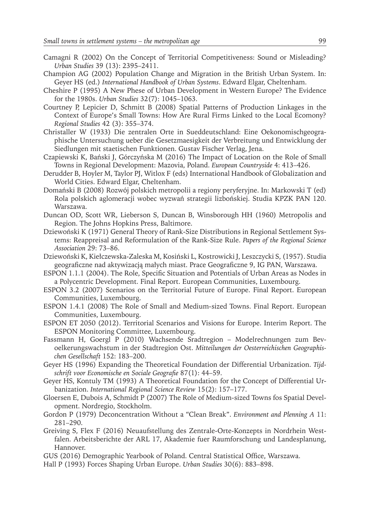- Camagni R (2002) On the Concept of Territorial Competitiveness: Sound or Misleading? *Urban Studies* 39 (13): 2395–2411.
- Champion AG (2002) Population Change and Migration in the British Urban System. In: Geyer HS (ed.) *International Handbook of Urban Systems*. Edward Elgar, Cheltenham.
- Cheshire P (1995) A New Phese of Urban Development in Western Europe? The Evidence for the 1980s. *Urban Studies* 32(7): 1045–1063.
- Courtney P, Lepicier D, Schmitt B (2008) Spatial Patterns of Production Linkages in the Context of Europe's Small Towns: How Are Rural Firms Linked to the Local Ecomony? *Regional Studies* 42 (3): 355–374.
- Christaller W (1933) Die zentralen Orte in Sueddeutschland: Eine Oekonomischgeographische Untersuchung ueber die Gesetzmaesigkeit der Verbreitung und Entwicklung der Siedlungen mit staetischen Funktionen. Gustav Fischer Verlag, Jena.
- Czapiewski K, Bański J, Górczyńska M (2016) The Impact of Location on the Role of Small Towns in Regional Development: Mazovia, Poland. *European Countryside* 4: 413–426.
- Derudder B, Hoyler M, Taylor PJ, Witlox F (eds) International Handbook of Globalization and World Cities. Edward Elgar, Cheltenham.
- Domański B (2008) Rozwój polskich metropolii a regiony peryferyjne. In: Markowski T (ed) Rola polskich aglomeracji wobec wyzwań strategii lizbońskiej. Studia KPZK PAN 120. Warszawa.
- Duncan OD, Scott WR, Lieberson S, Duncan B, Winsborough HH (1960) Metropolis and Region. The Johns Hopkins Press, Baltimore.
- Dziewoński K (1971) General Theory of Rank-Size Distributions in Regional Settlement Systems: Reappreisal and Reformulation of the Rank-Size Rule. *Papers of the Regional Science Association* 29: 73–86.
- Dziewoński K, Kiełczewska-Zaleska M, Kosiński L, Kostrowicki J, Leszczycki S, (1957). Studia geograficzne nad aktywizacją małych miast. Prace Geograficzne 9, IG PAN, Warszawa.
- ESPON 1.1.1 (2004). The Role, Specific Situation and Potentials of Urban Areas as Nodes in a Polycentric Development. Final Report. European Communities, Luxembourg.
- ESPON 3.2 (2007) Scenarios on the Territorial Future of Europe. Final Report. European Communities, Luxembourg.
- ESPON 1.4.1 (2008) The Role of Small and Medium-sized Towns. Final Report. European Communities, Luxembourg.
- ESPON ET 2050 (2012). Territorial Scenarios and Visions for Europe. Interim Report. The ESPON Monitoring Committee, Luxembourg.
- Fassmann H, Goergl P (2010) Wachsende Sradtregion Modelrechnungen zum Bevoelkerungswachstum in der Stadtregion Ost. *Mitteilungen der Oesterreichischen Geographischen Gesellschaft* 152: 183–200.
- Geyer HS (1996) Expanding the Theoretical Foundation der Differential Urbanization. *Tijdschrift voor Economische en Sociale Geografie* 87(1): 44–59.
- Geyer HS, Kontuly TM (1993) A Theoretical Foundation for the Concept of Differential Urbanization. *International Regional Science Review* 15(2): 157–177.
- Gloersen E, Dubois A, Schmidt P (2007) The Role of Medium-sized Towns fos Spatial Development. Nordregio, Stockholm.
- Gordon P (1979) Deconcentration Without a "Clean Break". *Environment and Plenning A* 11: 281–290.
- Greiving S, Flex F (2016) Neuaufstellung des Zentrale-Orte-Konzepts in Nordrhein Westfalen. Arbeitsberichte der ARL 17, Akademie fuer Raumforschung und Landesplanung, Hannover.
- GUS (2016) Demographic Yearbook of Poland. Central Statistical Office, Warszawa.
- Hall P (1993) Forces Shaping Urban Europe. *Urban Studies* 30(6): 883–898.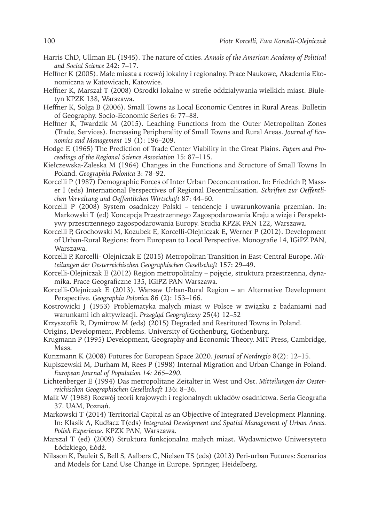- Harris ChD, Ullman EL (1945). The nature of cities. *Annals of the American Academy of Political and Social Science* 242: 7–17.
- Heffner K (2005). Małe miasta a rozwój lokalny i regionalny. Prace Naukowe, Akademia Ekonomiczna w Katowicach, Katowice.
- Heffner K, Marszał T (2008) Ośrodki lokalne w strefie oddziaływania wielkich miast. Biuletyn KPZK 138, Warszawa.
- Heffner K, Solga B (2006). Small Towns as Local Economic Centres in Rural Areas. Bulletin of Geography. Socio-Economic Series 6: 77–88.
- Heffner K, Twardzik M (2015). Leaching Functions from the Outer Metropolitan Zones (Trade, Services). Increasing Peripherality of Small Towns and Rural Areas. *Journal of Economics and Management* 19 (1): 196–209.
- Hodge E (1965) The Prediction of Trade Center Viability in the Great Plains. *Papers and Proceedings of the Regional Science Association* 15: 87–115.
- Kiełczewska-Zaleska M (1964) Changes in the Functions and Structure of Small Towns In Poland. *Geographia Polonica* 3: 78–92.
- Korcelli P (1987) Demographic Forces of Inter Urban Deconcentration. In: Friedrich P, Masser I (eds) International Perspectives of Regional Decentralisation. *Schriften zur Oeffentlichen Vervaltung und Oeffentlichen Wirtschaft* 87: 44–60.
- Korcelli P (2008) System osadniczy Polski tendencje i uwarunkowania przemian. In: Markowski T (ed) Koncepcja Przestrzennego Zagospodarowania Kraju a wizje i Perspektywy przestrzennego zagospodarowania Europy. Studia KPZK PAN 122, Warszawa.
- Korcelli P, Grochowski M, Kozubek E, Korcelli-Olejniczak E, Werner P (2012). Development of Urban-Rural Regions: from European to Local Perspective. Monografie 14, IGiPZ PAN, Warszawa.
- Korcelli P, Korcelli- Olejniczak E (2015) Metropolitan Transition in East-Central Europe. *Mitteilungen der Oesterreichischen Geographischen Gesellschaft* 157: 29–49.
- Korcelli-Olejniczak E (2012) Region metropolitalny pojęcie, struktura przestrzenna, dynamika. Prace Geograficzne 135, IGiPZ PAN Warszawa.
- Korcelli-Olejniczak E (2013). Warsaw Urban-Rural Region an Alternative Development Perspective. *Geographia Polonica* 86 (2): 153–166.
- Kostrowicki J (1953) Problematyka małych miast w Polsce w związku z badaniami nad warunkami ich aktywizacji. *Przegląd Geograficzny* 25(4) 12–52
- Krzysztofik R, Dymitrow M (eds) (2015) Degraded and Restituted Towns in Poland.
- Origins, Development, Problems. University of Gothenburg, Gothenburg.
- Krugmann P (1995) Development, Geography and Economic Theory. MIT Press, Cambridge, Mass.
- Kunzmann K (2008) Futures for European Space 2020. *Journal of Nordregio* 8(2): 12–15.
- Kupiszewski M, Durham M, Rees P (1998) Internal Migration and Urban Change in Poland. *European Journal of Population 14: 265–290.*
- Lichtenberger E (1994) Das metropolitane Zeitalter in West und Ost. *Mitteilungen der Oesterreichischen Geographischen Gesellschaft* 136: 8–36.
- Maik W (1988) Rozwój teorii krajowych i regionalnych układów osadnictwa. Seria Geografia 37. UAM, Poznań.
- Markowski T (2014) Territorial Capital as an Objective of Integrated Development Planning. In: Klasik A, Kudłacz T(eds) *Integrated Development and Spatial Management of Urban Areas. Polish Experience*. KPZK PAN, Warszawa.
- Marszał T (ed) (2009) Struktura funkcjonalna małych miast. Wydawnictwo Uniwersytetu Łódzkiego, Łódź.
- Nilsson K, Pauleit S, Bell S, Aalbers C, Nielsen TS (eds) (2013) Peri-urban Futures: Scenarios and Models for Land Use Change in Europe. Springer, Heidelberg.